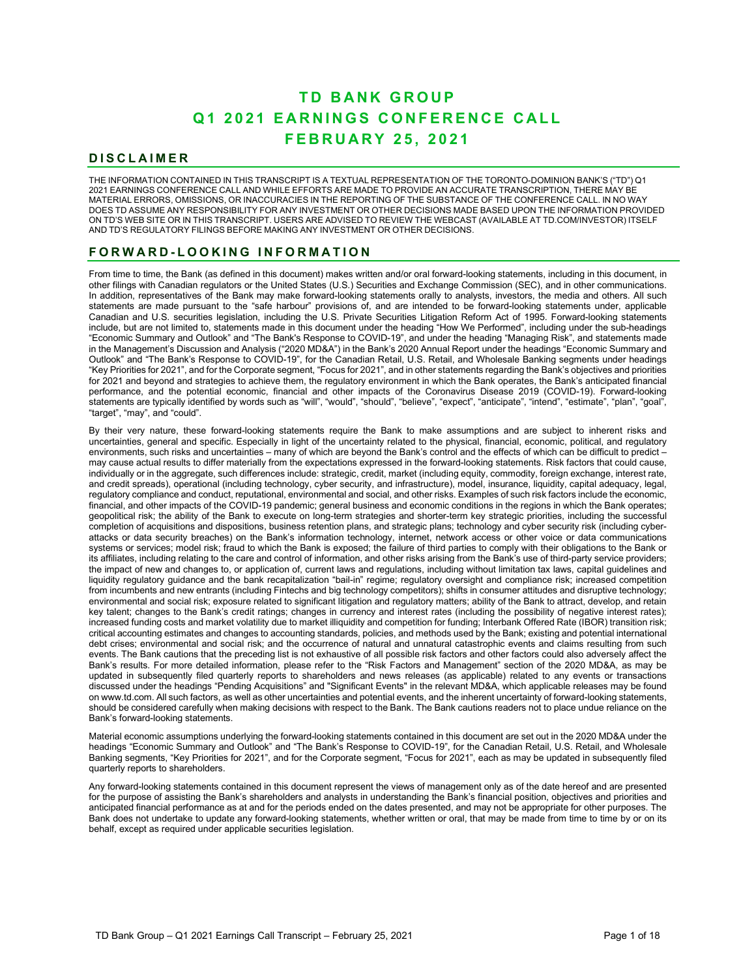# **TD BANK GROUP Q 1 2 0 2 1 EARNINGS CONFERENCE CALL FEBRUARY 2 5 , 2 0 2 1**

# **DISCLAIMER**

THE INFORMATION CONTAINED IN THIS TRANSCRIPT IS A TEXTUAL REPRESENTATION OF THE TORONTO-DOMINION BANK'S ("TD") Q1 2021 EARNINGS CONFERENCE CALL AND WHILE EFFORTS ARE MADE TO PROVIDE AN ACCURATE TRANSCRIPTION, THERE MAY BE MATERIAL ERRORS, OMISSIONS, OR INACCURACIES IN THE REPORTING OF THE SUBSTANCE OF THE CONFERENCE CALL. IN NO WAY DOES TD ASSUME ANY RESPONSIBILITY FOR ANY INVESTMENT OR OTHER DECISIONS MADE BASED UPON THE INFORMATION PROVIDED ON TD'S WEB SITE OR IN THIS TRANSCRIPT. USERS ARE ADVISED TO REVIEW THE WEBCAST (AVAILABLE AT TD.COM/INVESTOR) ITSELF AND TD'S REGULATORY FILINGS BEFORE MAKING ANY INVESTMENT OR OTHER DECISIONS.

# **FORWARD - LOOKING INFO RMATION**

From time to time, the Bank (as defined in this document) makes written and/or oral forward-looking statements, including in this document, in other filings with Canadian regulators or the United States (U.S.) Securities and Exchange Commission (SEC), and in other communications. In addition, representatives of the Bank may make forward-looking statements orally to analysts, investors, the media and others. All such statements are made pursuant to the "safe harbour" provisions of, and are intended to be forward-looking statements under, applicable Canadian and U.S. securities legislation, including the U.S. Private Securities Litigation Reform Act of 1995. Forward-looking statements include, but are not limited to, statements made in this document under the heading "How We Performed", including under the sub-headings "Economic Summary and Outlook" and "The Bank's Response to COVID-19", and under the heading "Managing Risk", and statements made in the Management's Discussion and Analysis ("2020 MD&A") in the Bank's 2020 Annual Report under the headings "Economic Summary and Outlook" and "The Bank's Response to COVID-19", for the Canadian Retail, U.S. Retail, and Wholesale Banking segments under headings "Key Priorities for 2021", and for the Corporate segment, "Focus for 2021", and in other statements regarding the Bank's objectives and priorities for 2021 and beyond and strategies to achieve them, the regulatory environment in which the Bank operates, the Bank's anticipated financial performance, and the potential economic, financial and other impacts of the Coronavirus Disease 2019 (COVID-19). Forward-looking statements are typically identified by words such as "will", "would", "should", "believe", "expect", "anticipate", "intend", "estimate", "plan", "goal", "target", "may", and "could".

By their very nature, these forward-looking statements require the Bank to make assumptions and are subject to inherent risks and uncertainties, general and specific. Especially in light of the uncertainty related to the physical, financial, economic, political, and regulatory environments, such risks and uncertainties – many of which are beyond the Bank's control and the effects of which can be difficult to predict – may cause actual results to differ materially from the expectations expressed in the forward-looking statements. Risk factors that could cause, individually or in the aggregate, such differences include: strategic, credit, market (including equity, commodity, foreign exchange, interest rate, and credit spreads), operational (including technology, cyber security, and infrastructure), model, insurance, liquidity, capital adequacy, legal, regulatory compliance and conduct, reputational, environmental and social, and other risks. Examples of such risk factors include the economic, financial, and other impacts of the COVID-19 pandemic; general business and economic conditions in the regions in which the Bank operates; geopolitical risk; the ability of the Bank to execute on long-term strategies and shorter-term key strategic priorities, including the successful completion of acquisitions and dispositions, business retention plans, and strategic plans; technology and cyber security risk (including cyberattacks or data security breaches) on the Bank's information technology, internet, network access or other voice or data communications systems or services; model risk; fraud to which the Bank is exposed; the failure of third parties to comply with their obligations to the Bank or its affiliates, including relating to the care and control of information, and other risks arising from the Bank's use of third-party service providers; the impact of new and changes to, or application of, current laws and regulations, including without limitation tax laws, capital guidelines and liquidity regulatory guidance and the bank recapitalization "bail-in" regime; regulatory oversight and compliance risk; increased competition from incumbents and new entrants (including Fintechs and big technology competitors); shifts in consumer attitudes and disruptive technology; environmental and social risk; exposure related to significant litigation and regulatory matters; ability of the Bank to attract, develop, and retain key talent; changes to the Bank's credit ratings; changes in currency and interest rates (including the possibility of negative interest rates); increased funding costs and market volatility due to market illiquidity and competition for funding; Interbank Offered Rate (IBOR) transition risk; critical accounting estimates and changes to accounting standards, policies, and methods used by the Bank; existing and potential international debt crises; environmental and social risk; and the occurrence of natural and unnatural catastrophic events and claims resulting from such events. The Bank cautions that the preceding list is not exhaustive of all possible risk factors and other factors could also adversely affect the Bank's results. For more detailed information, please refer to the "Risk Factors and Management" section of the 2020 MD&A, as may be updated in subsequently filed quarterly reports to shareholders and news releases (as applicable) related to any events or transactions discussed under the headings "Pending Acquisitions" and "Significant Events" in the relevant MD&A, which applicable releases may be found on www.td.com. All such factors, as well as other uncertainties and potential events, and the inherent uncertainty of forward-looking statements, should be considered carefully when making decisions with respect to the Bank. The Bank cautions readers not to place undue reliance on the Bank's forward-looking statements.

Material economic assumptions underlying the forward-looking statements contained in this document are set out in the 2020 MD&A under the headings "Economic Summary and Outlook" and "The Bank's Response to COVID-19", for the Canadian Retail, U.S. Retail, and Wholesale Banking segments, "Key Priorities for 2021", and for the Corporate segment, "Focus for 2021", each as may be updated in subsequently filed quarterly reports to shareholders.

Any forward-looking statements contained in this document represent the views of management only as of the date hereof and are presented for the purpose of assisting the Bank's shareholders and analysts in understanding the Bank's financial position, objectives and priorities and anticipated financial performance as at and for the periods ended on the dates presented, and may not be appropriate for other purposes. The Bank does not undertake to update any forward-looking statements, whether written or oral, that may be made from time to time by or on its behalf, except as required under applicable securities legislation.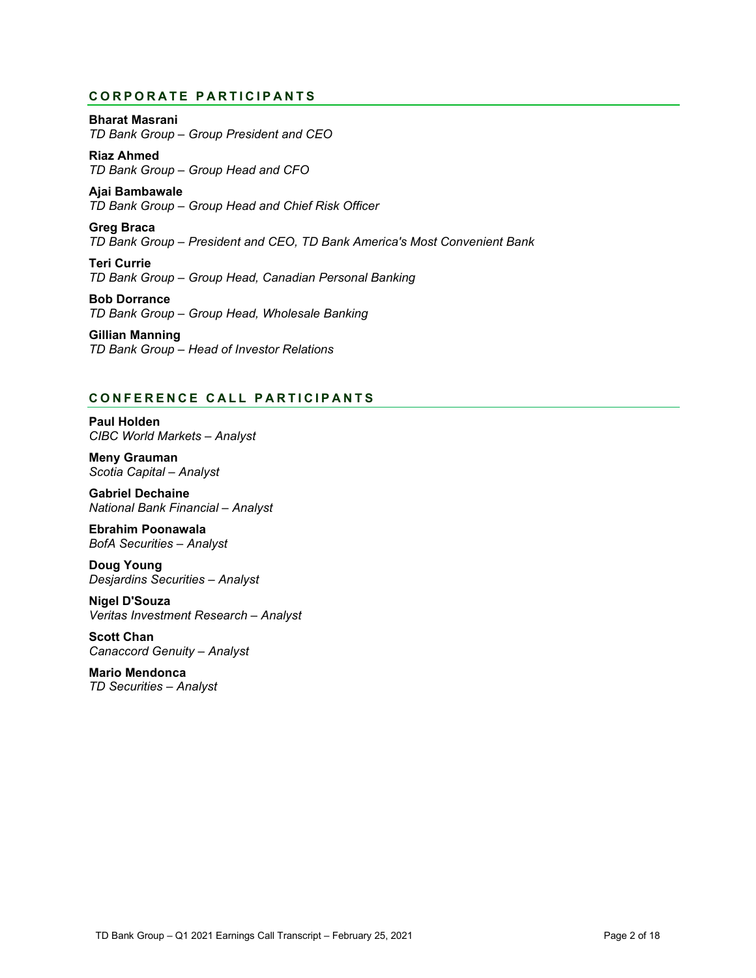# **CORPORATE PARTICIPANTS**

**Bharat Masrani** *TD Bank Group – Group President and CEO*

**Riaz Ahmed** *TD Bank Group – Group Head and CFO*

**Ajai Bambawale** *TD Bank Group – Group Head and Chief Risk Officer*

**Greg Braca** *TD Bank Group – President and CEO, TD Bank America's Most Convenient Bank*

**Teri Currie** *TD Bank Group – Group Head, Canadian Personal Banking*

**Bob Dorrance** *TD Bank Group – Group Head, Wholesale Banking*

**Gillian Manning** *TD Bank Group – Head of Investor Relations*

# **CONFERENCE CALL PART ICIPANTS**

**Paul Holden** *CIBC World Markets – Analyst*

**Meny Grauman** *Scotia Capital – Analyst*

**Gabriel Dechaine** *National Bank Financial – Analyst*

**Ebrahim Poonawala** *BofA Securities – Analyst* 

**Doug Young** *Desjardins Securities – Analyst*

**Nigel D'Souza** *Veritas Investment Research – Analyst*

**Scott Chan** *Canaccord Genuity – Analyst*

**Mario Mendonca** *TD Securities – Analyst*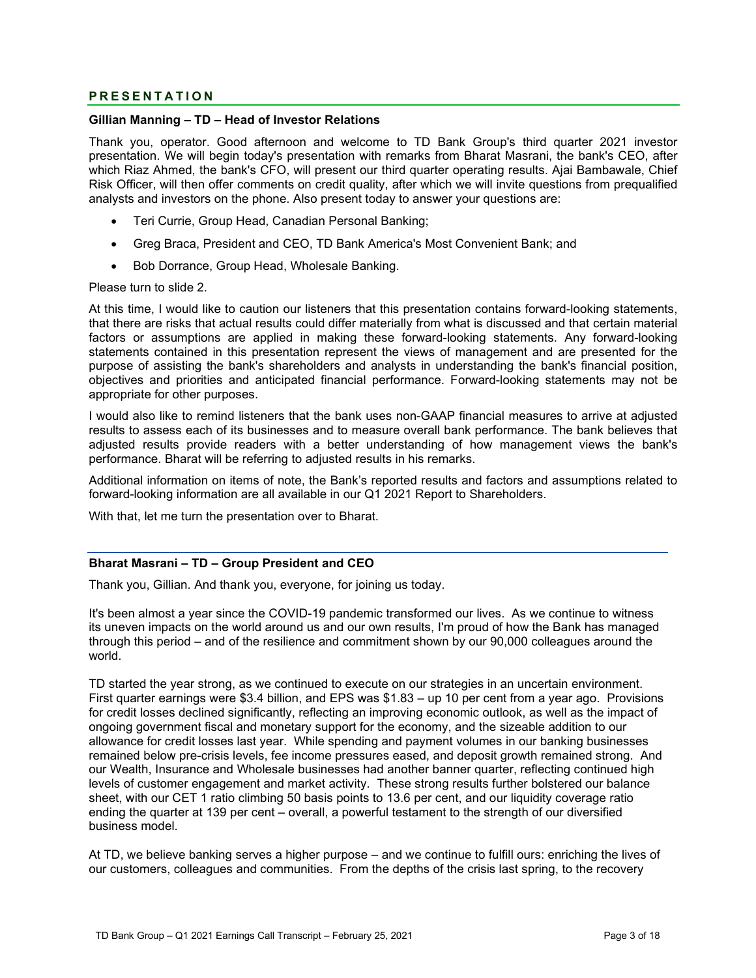# **PRESENTATION**

# **Gillian Manning – TD – Head of Investor Relations**

Thank you, operator. Good afternoon and welcome to TD Bank Group's third quarter 2021 investor presentation. We will begin today's presentation with remarks from Bharat Masrani, the bank's CEO, after which Riaz Ahmed, the bank's CFO, will present our third quarter operating results. Ajai Bambawale, Chief Risk Officer, will then offer comments on credit quality, after which we will invite questions from prequalified analysts and investors on the phone. Also present today to answer your questions are:

- Teri Currie, Group Head, Canadian Personal Banking;
- Greg Braca, President and CEO, TD Bank America's Most Convenient Bank; and
- Bob Dorrance, Group Head, Wholesale Banking.

#### Please turn to slide 2.

At this time, I would like to caution our listeners that this presentation contains forward-looking statements, that there are risks that actual results could differ materially from what is discussed and that certain material factors or assumptions are applied in making these forward-looking statements. Any forward-looking statements contained in this presentation represent the views of management and are presented for the purpose of assisting the bank's shareholders and analysts in understanding the bank's financial position, objectives and priorities and anticipated financial performance. Forward-looking statements may not be appropriate for other purposes.

I would also like to remind listeners that the bank uses non-GAAP financial measures to arrive at adjusted results to assess each of its businesses and to measure overall bank performance. The bank believes that adjusted results provide readers with a better understanding of how management views the bank's performance. Bharat will be referring to adjusted results in his remarks.

Additional information on items of note, the Bank's reported results and factors and assumptions related to forward-looking information are all available in our Q1 2021 Report to Shareholders.

With that, let me turn the presentation over to Bharat.

#### **Bharat Masrani – TD – Group President and CEO**

Thank you, Gillian. And thank you, everyone, for joining us today.

It's been almost a year since the COVID-19 pandemic transformed our lives. As we continue to witness its uneven impacts on the world around us and our own results, I'm proud of how the Bank has managed through this period – and of the resilience and commitment shown by our 90,000 colleagues around the world.

TD started the year strong, as we continued to execute on our strategies in an uncertain environment. First quarter earnings were \$3.4 billion, and EPS was \$1.83 – up 10 per cent from a year ago. Provisions for credit losses declined significantly, reflecting an improving economic outlook, as well as the impact of ongoing government fiscal and monetary support for the economy, and the sizeable addition to our allowance for credit losses last year. While spending and payment volumes in our banking businesses remained below pre-crisis levels, fee income pressures eased, and deposit growth remained strong. And our Wealth, Insurance and Wholesale businesses had another banner quarter, reflecting continued high levels of customer engagement and market activity. These strong results further bolstered our balance sheet, with our CET 1 ratio climbing 50 basis points to 13.6 per cent, and our liquidity coverage ratio ending the quarter at 139 per cent – overall, a powerful testament to the strength of our diversified business model.

At TD, we believe banking serves a higher purpose – and we continue to fulfill ours: enriching the lives of our customers, colleagues and communities. From the depths of the crisis last spring, to the recovery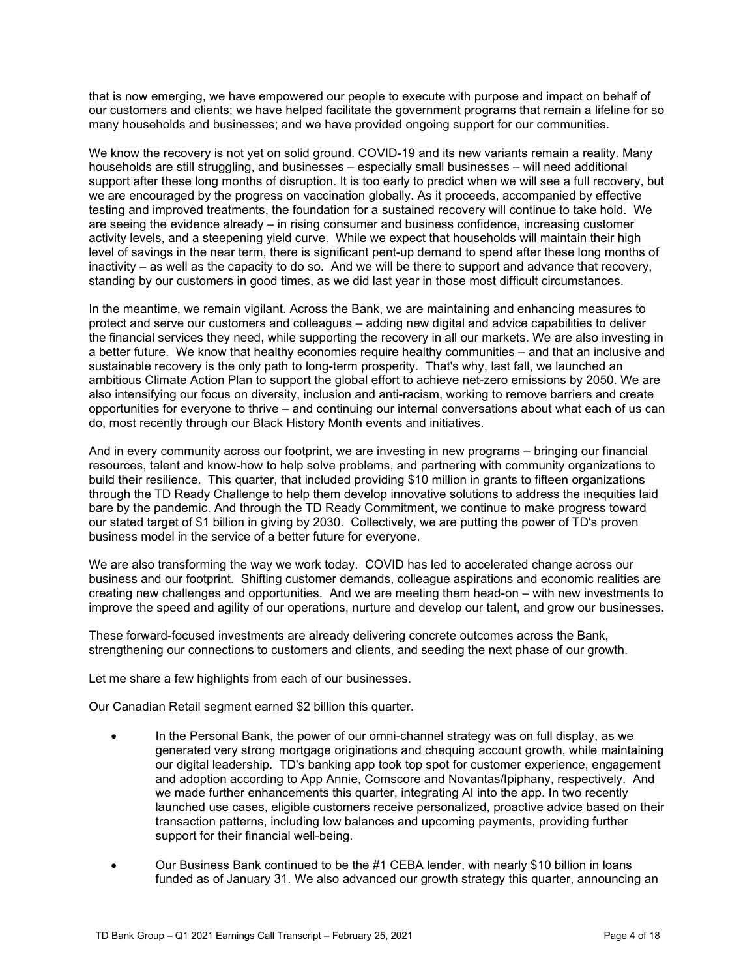that is now emerging, we have empowered our people to execute with purpose and impact on behalf of our customers and clients; we have helped facilitate the government programs that remain a lifeline for so many households and businesses; and we have provided ongoing support for our communities.

We know the recovery is not yet on solid ground. COVID-19 and its new variants remain a reality. Many households are still struggling, and businesses – especially small businesses – will need additional support after these long months of disruption. It is too early to predict when we will see a full recovery, but we are encouraged by the progress on vaccination globally. As it proceeds, accompanied by effective testing and improved treatments, the foundation for a sustained recovery will continue to take hold. We are seeing the evidence already – in rising consumer and business confidence, increasing customer activity levels, and a steepening yield curve. While we expect that households will maintain their high level of savings in the near term, there is significant pent-up demand to spend after these long months of inactivity – as well as the capacity to do so. And we will be there to support and advance that recovery, standing by our customers in good times, as we did last year in those most difficult circumstances.

In the meantime, we remain vigilant. Across the Bank, we are maintaining and enhancing measures to protect and serve our customers and colleagues – adding new digital and advice capabilities to deliver the financial services they need, while supporting the recovery in all our markets. We are also investing in a better future. We know that healthy economies require healthy communities – and that an inclusive and sustainable recovery is the only path to long-term prosperity. That's why, last fall, we launched an ambitious Climate Action Plan to support the global effort to achieve net-zero emissions by 2050. We are also intensifying our focus on diversity, inclusion and anti-racism, working to remove barriers and create opportunities for everyone to thrive – and continuing our internal conversations about what each of us can do, most recently through our Black History Month events and initiatives.

And in every community across our footprint, we are investing in new programs – bringing our financial resources, talent and know-how to help solve problems, and partnering with community organizations to build their resilience. This quarter, that included providing \$10 million in grants to fifteen organizations through the TD Ready Challenge to help them develop innovative solutions to address the inequities laid bare by the pandemic. And through the TD Ready Commitment, we continue to make progress toward our stated target of \$1 billion in giving by 2030. Collectively, we are putting the power of TD's proven business model in the service of a better future for everyone.

We are also transforming the way we work today. COVID has led to accelerated change across our business and our footprint. Shifting customer demands, colleague aspirations and economic realities are creating new challenges and opportunities. And we are meeting them head-on – with new investments to improve the speed and agility of our operations, nurture and develop our talent, and grow our businesses.

These forward-focused investments are already delivering concrete outcomes across the Bank, strengthening our connections to customers and clients, and seeding the next phase of our growth.

Let me share a few highlights from each of our businesses.

Our Canadian Retail segment earned \$2 billion this quarter.

- In the Personal Bank, the power of our omni-channel strategy was on full display, as we generated very strong mortgage originations and chequing account growth, while maintaining our digital leadership. TD's banking app took top spot for customer experience, engagement and adoption according to App Annie, Comscore and Novantas/Ipiphany, respectively. And we made further enhancements this quarter, integrating AI into the app. In two recently launched use cases, eligible customers receive personalized, proactive advice based on their transaction patterns, including low balances and upcoming payments, providing further support for their financial well-being.
- Our Business Bank continued to be the #1 CEBA lender, with nearly \$10 billion in loans funded as of January 31. We also advanced our growth strategy this quarter, announcing an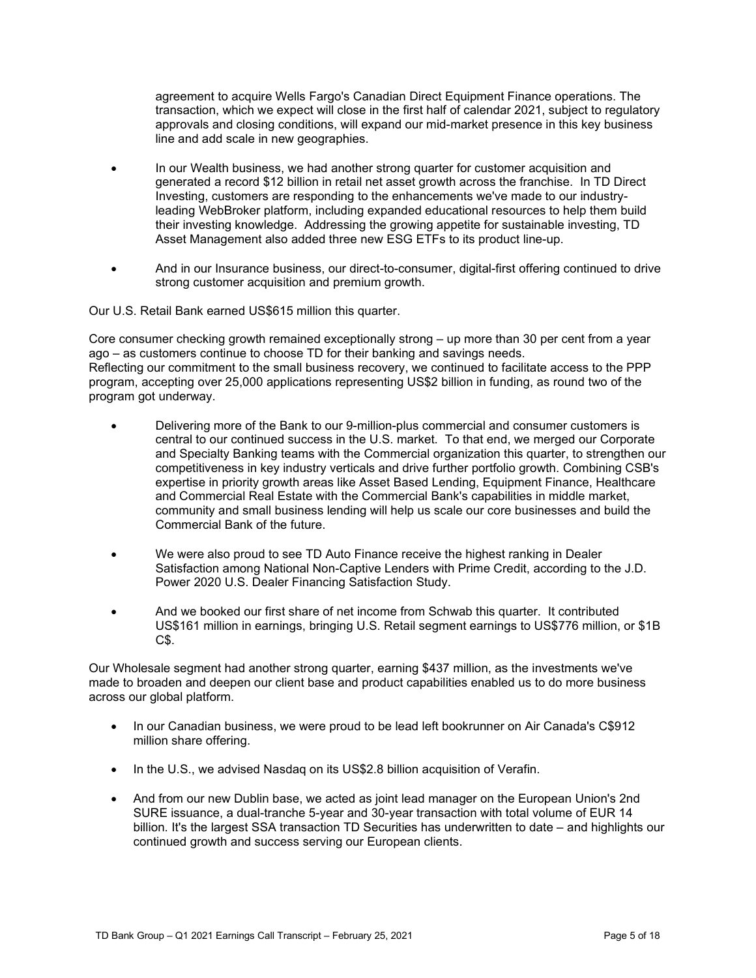agreement to acquire Wells Fargo's Canadian Direct Equipment Finance operations. The transaction, which we expect will close in the first half of calendar 2021, subject to regulatory approvals and closing conditions, will expand our mid-market presence in this key business line and add scale in new geographies.

- In our Wealth business, we had another strong quarter for customer acquisition and generated a record \$12 billion in retail net asset growth across the franchise. In TD Direct Investing, customers are responding to the enhancements we've made to our industryleading WebBroker platform, including expanded educational resources to help them build their investing knowledge. Addressing the growing appetite for sustainable investing, TD Asset Management also added three new ESG ETFs to its product line-up.
- And in our Insurance business, our direct-to-consumer, digital-first offering continued to drive strong customer acquisition and premium growth.

Our U.S. Retail Bank earned US\$615 million this quarter.

Core consumer checking growth remained exceptionally strong – up more than 30 per cent from a year ago – as customers continue to choose TD for their banking and savings needs. Reflecting our commitment to the small business recovery, we continued to facilitate access to the PPP program, accepting over 25,000 applications representing US\$2 billion in funding, as round two of the program got underway.

- Delivering more of the Bank to our 9-million-plus commercial and consumer customers is central to our continued success in the U.S. market. To that end, we merged our Corporate and Specialty Banking teams with the Commercial organization this quarter, to strengthen our competitiveness in key industry verticals and drive further portfolio growth. Combining CSB's expertise in priority growth areas like Asset Based Lending, Equipment Finance, Healthcare and Commercial Real Estate with the Commercial Bank's capabilities in middle market, community and small business lending will help us scale our core businesses and build the Commercial Bank of the future.
- We were also proud to see TD Auto Finance receive the highest ranking in Dealer Satisfaction among National Non-Captive Lenders with Prime Credit, according to the J.D. Power 2020 U.S. Dealer Financing Satisfaction Study.
- And we booked our first share of net income from Schwab this quarter. It contributed US\$161 million in earnings, bringing U.S. Retail segment earnings to US\$776 million, or \$1B C\$.

Our Wholesale segment had another strong quarter, earning \$437 million, as the investments we've made to broaden and deepen our client base and product capabilities enabled us to do more business across our global platform.

- In our Canadian business, we were proud to be lead left bookrunner on Air Canada's C\$912 million share offering.
- In the U.S., we advised Nasdaq on its US\$2.8 billion acquisition of Verafin.
- And from our new Dublin base, we acted as joint lead manager on the European Union's 2nd SURE issuance, a dual-tranche 5-year and 30-year transaction with total volume of EUR 14 billion. It's the largest SSA transaction TD Securities has underwritten to date – and highlights our continued growth and success serving our European clients.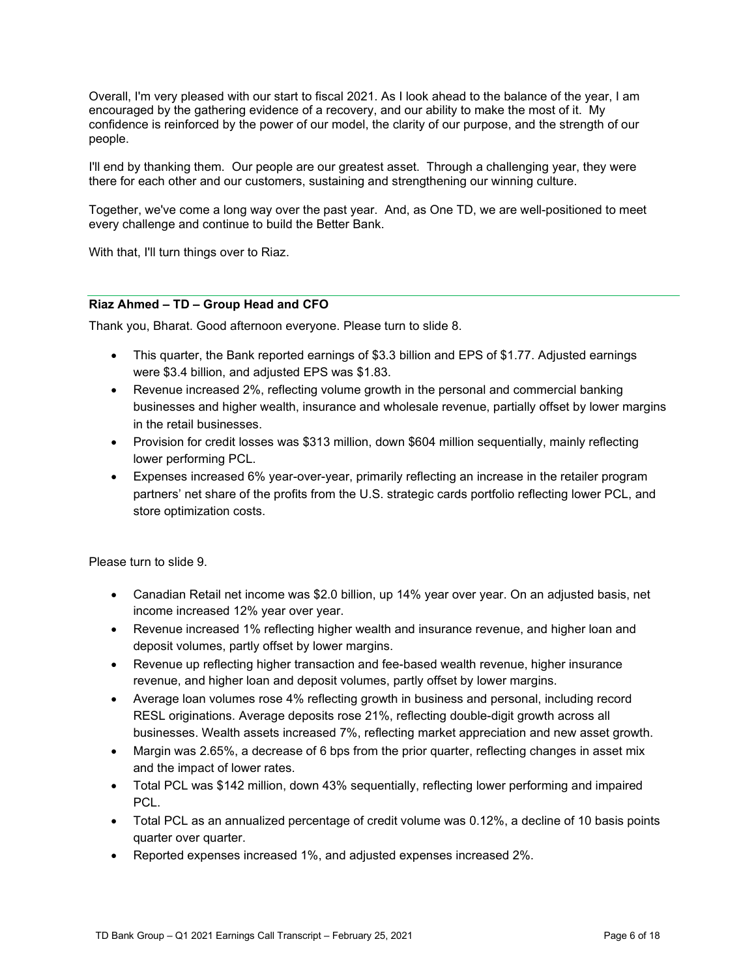Overall, I'm very pleased with our start to fiscal 2021. As I look ahead to the balance of the year, I am encouraged by the gathering evidence of a recovery, and our ability to make the most of it. My confidence is reinforced by the power of our model, the clarity of our purpose, and the strength of our people.

I'll end by thanking them. Our people are our greatest asset. Through a challenging year, they were there for each other and our customers, sustaining and strengthening our winning culture.

Together, we've come a long way over the past year. And, as One TD, we are well-positioned to meet every challenge and continue to build the Better Bank.

With that, I'll turn things over to Riaz.

# **Riaz Ahmed – TD – Group Head and CFO**

Thank you, Bharat. Good afternoon everyone. Please turn to slide 8.

- This quarter, the Bank reported earnings of \$3.3 billion and EPS of \$1.77. Adjusted earnings were \$3.4 billion, and adjusted EPS was \$1.83.
- Revenue increased 2%, reflecting volume growth in the personal and commercial banking businesses and higher wealth, insurance and wholesale revenue, partially offset by lower margins in the retail businesses.
- Provision for credit losses was \$313 million, down \$604 million sequentially, mainly reflecting lower performing PCL.
- Expenses increased 6% year-over-year, primarily reflecting an increase in the retailer program partners' net share of the profits from the U.S. strategic cards portfolio reflecting lower PCL, and store optimization costs.

Please turn to slide 9.

- Canadian Retail net income was \$2.0 billion, up 14% year over year. On an adjusted basis, net income increased 12% year over year.
- Revenue increased 1% reflecting higher wealth and insurance revenue, and higher loan and deposit volumes, partly offset by lower margins.
- Revenue up reflecting higher transaction and fee-based wealth revenue, higher insurance revenue, and higher loan and deposit volumes, partly offset by lower margins.
- Average loan volumes rose 4% reflecting growth in business and personal, including record RESL originations. Average deposits rose 21%, reflecting double-digit growth across all businesses. Wealth assets increased 7%, reflecting market appreciation and new asset growth.
- Margin was 2.65%, a decrease of 6 bps from the prior quarter, reflecting changes in asset mix and the impact of lower rates.
- Total PCL was \$142 million, down 43% sequentially, reflecting lower performing and impaired PCL.
- Total PCL as an annualized percentage of credit volume was 0.12%, a decline of 10 basis points quarter over quarter.
- Reported expenses increased 1%, and adjusted expenses increased 2%.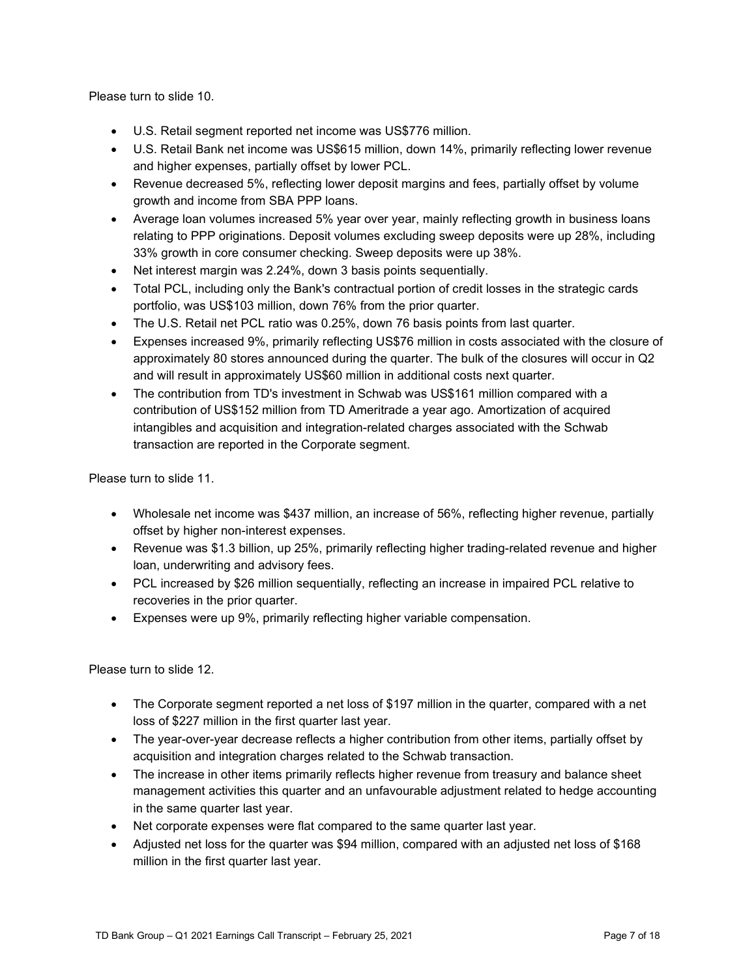Please turn to slide 10.

- U.S. Retail segment reported net income was US\$776 million.
- U.S. Retail Bank net income was US\$615 million, down 14%, primarily reflecting lower revenue and higher expenses, partially offset by lower PCL.
- Revenue decreased 5%, reflecting lower deposit margins and fees, partially offset by volume growth and income from SBA PPP loans.
- Average loan volumes increased 5% year over year, mainly reflecting growth in business loans relating to PPP originations. Deposit volumes excluding sweep deposits were up 28%, including 33% growth in core consumer checking. Sweep deposits were up 38%.
- Net interest margin was 2.24%, down 3 basis points sequentially.
- Total PCL, including only the Bank's contractual portion of credit losses in the strategic cards portfolio, was US\$103 million, down 76% from the prior quarter.
- The U.S. Retail net PCL ratio was 0.25%, down 76 basis points from last quarter.
- Expenses increased 9%, primarily reflecting US\$76 million in costs associated with the closure of approximately 80 stores announced during the quarter. The bulk of the closures will occur in Q2 and will result in approximately US\$60 million in additional costs next quarter.
- The contribution from TD's investment in Schwab was US\$161 million compared with a contribution of US\$152 million from TD Ameritrade a year ago. Amortization of acquired intangibles and acquisition and integration-related charges associated with the Schwab transaction are reported in the Corporate segment.

Please turn to slide 11.

- Wholesale net income was \$437 million, an increase of 56%, reflecting higher revenue, partially offset by higher non-interest expenses.
- Revenue was \$1.3 billion, up 25%, primarily reflecting higher trading-related revenue and higher loan, underwriting and advisory fees.
- PCL increased by \$26 million sequentially, reflecting an increase in impaired PCL relative to recoveries in the prior quarter.
- Expenses were up 9%, primarily reflecting higher variable compensation.

Please turn to slide 12.

- The Corporate segment reported a net loss of \$197 million in the quarter, compared with a net loss of \$227 million in the first quarter last year.
- The year-over-year decrease reflects a higher contribution from other items, partially offset by acquisition and integration charges related to the Schwab transaction.
- The increase in other items primarily reflects higher revenue from treasury and balance sheet management activities this quarter and an unfavourable adjustment related to hedge accounting in the same quarter last year.
- Net corporate expenses were flat compared to the same quarter last year.
- Adjusted net loss for the quarter was \$94 million, compared with an adjusted net loss of \$168 million in the first quarter last year.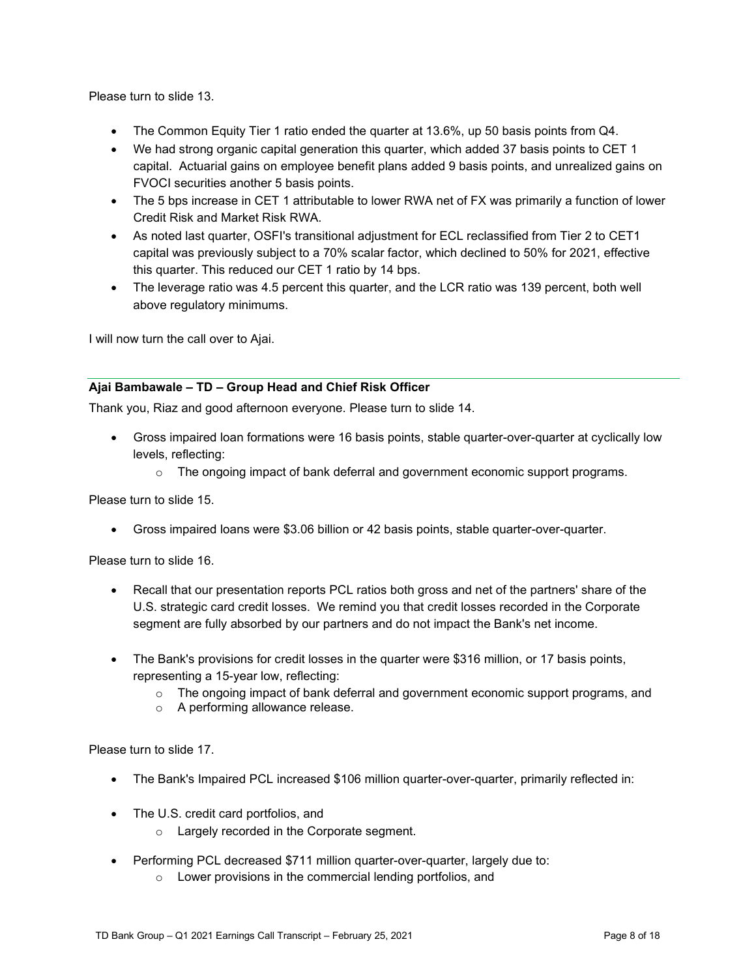Please turn to slide 13.

- The Common Equity Tier 1 ratio ended the quarter at 13.6%, up 50 basis points from Q4.
- We had strong organic capital generation this quarter, which added 37 basis points to CET 1 capital. Actuarial gains on employee benefit plans added 9 basis points, and unrealized gains on FVOCI securities another 5 basis points.
- The 5 bps increase in CET 1 attributable to lower RWA net of FX was primarily a function of lower Credit Risk and Market Risk RWA.
- As noted last quarter, OSFI's transitional adjustment for ECL reclassified from Tier 2 to CET1 capital was previously subject to a 70% scalar factor, which declined to 50% for 2021, effective this quarter. This reduced our CET 1 ratio by 14 bps.
- The leverage ratio was 4.5 percent this quarter, and the LCR ratio was 139 percent, both well above regulatory minimums.

I will now turn the call over to Ajai.

# **Ajai Bambawale – TD – Group Head and Chief Risk Officer**

Thank you, Riaz and good afternoon everyone. Please turn to slide 14.

- Gross impaired loan formations were 16 basis points, stable quarter-over-quarter at cyclically low levels, reflecting:
	- $\circ$  The ongoing impact of bank deferral and government economic support programs.

Please turn to slide 15.

• Gross impaired loans were \$3.06 billion or 42 basis points, stable quarter-over-quarter.

Please turn to slide 16.

- Recall that our presentation reports PCL ratios both gross and net of the partners' share of the U.S. strategic card credit losses. We remind you that credit losses recorded in the Corporate segment are fully absorbed by our partners and do not impact the Bank's net income.
- The Bank's provisions for credit losses in the quarter were \$316 million, or 17 basis points, representing a 15-year low, reflecting:
	- $\circ$  The ongoing impact of bank deferral and government economic support programs, and
	- o A performing allowance release.

Please turn to slide 17.

- The Bank's Impaired PCL increased \$106 million quarter-over-quarter, primarily reflected in:
- The U.S. credit card portfolios, and
	- o Largely recorded in the Corporate segment.
- Performing PCL decreased \$711 million quarter-over-quarter, largely due to:
	- o Lower provisions in the commercial lending portfolios, and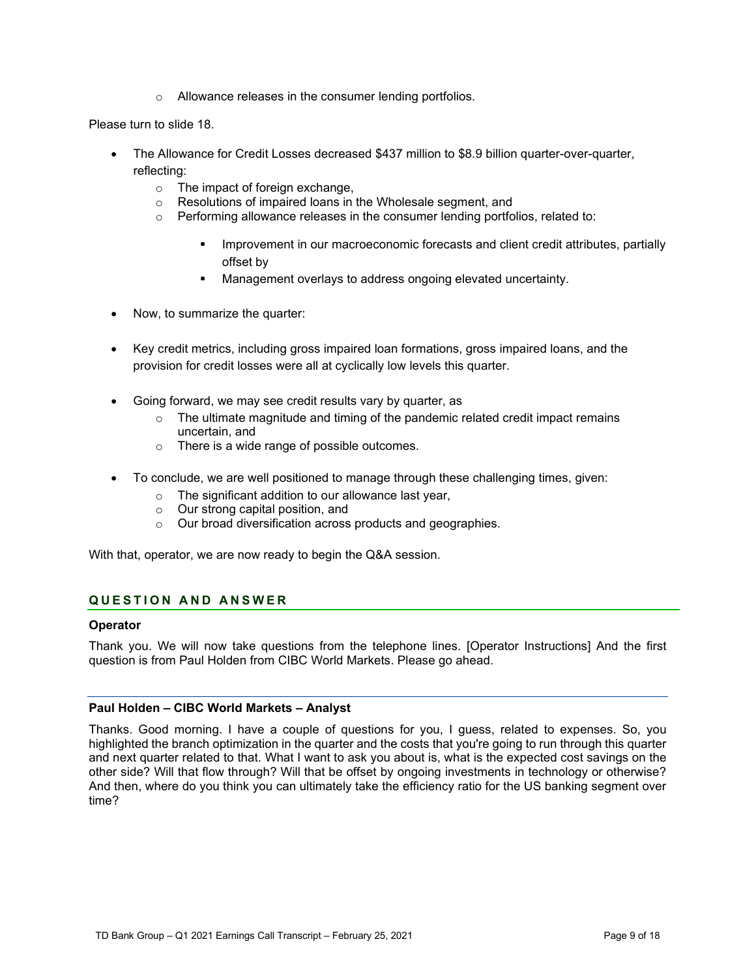o Allowance releases in the consumer lending portfolios.

Please turn to slide 18.

- The Allowance for Credit Losses decreased \$437 million to \$8.9 billion quarter-over-quarter, reflecting:
	- $\circ$  The impact of foreign exchange,<br>  $\circ$  Resolutions of impaired loans in
	- Resolutions of impaired loans in the Wholesale segment, and
	- $\circ$  Performing allowance releases in the consumer lending portfolios, related to:
		- Improvement in our macroeconomic forecasts and client credit attributes, partially offset by
		- Management overlays to address ongoing elevated uncertainty.
- Now, to summarize the quarter:
- Key credit metrics, including gross impaired loan formations, gross impaired loans, and the provision for credit losses were all at cyclically low levels this quarter.
- Going forward, we may see credit results vary by quarter, as
	- $\circ$  The ultimate magnitude and timing of the pandemic related credit impact remains uncertain, and
	- o There is a wide range of possible outcomes.
- To conclude, we are well positioned to manage through these challenging times, given:
	- o The significant addition to our allowance last year,
	- o Our strong capital position, and
	- o Our broad diversification across products and geographies.

With that, operator, we are now ready to begin the Q&A session.

# **QUESTION AND ANSWER**

# **Operator**

Thank you. We will now take questions from the telephone lines. [Operator Instructions] And the first question is from Paul Holden from CIBC World Markets. Please go ahead.

# **Paul Holden – CIBC World Markets – Analyst**

Thanks. Good morning. I have a couple of questions for you, I guess, related to expenses. So, you highlighted the branch optimization in the quarter and the costs that you're going to run through this quarter and next quarter related to that. What I want to ask you about is, what is the expected cost savings on the other side? Will that flow through? Will that be offset by ongoing investments in technology or otherwise? And then, where do you think you can ultimately take the efficiency ratio for the US banking segment over time?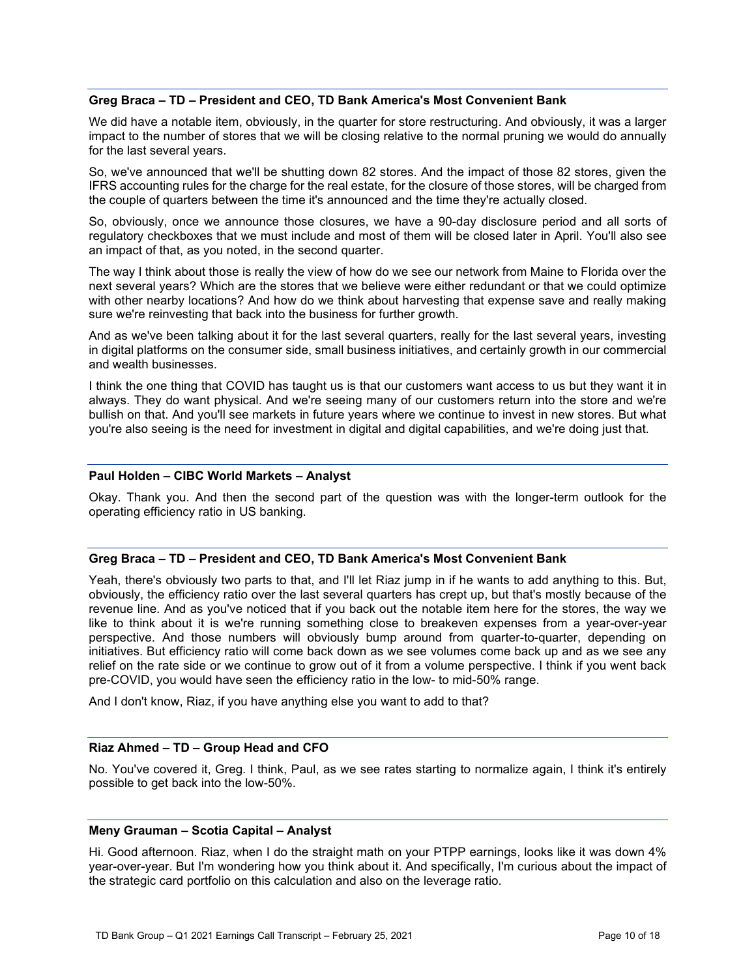# **Greg Braca – TD – President and CEO, TD Bank America's Most Convenient Bank**

We did have a notable item, obviously, in the quarter for store restructuring. And obviously, it was a larger impact to the number of stores that we will be closing relative to the normal pruning we would do annually for the last several years.

So, we've announced that we'll be shutting down 82 stores. And the impact of those 82 stores, given the IFRS accounting rules for the charge for the real estate, for the closure of those stores, will be charged from the couple of quarters between the time it's announced and the time they're actually closed.

So, obviously, once we announce those closures, we have a 90-day disclosure period and all sorts of regulatory checkboxes that we must include and most of them will be closed later in April. You'll also see an impact of that, as you noted, in the second quarter.

The way I think about those is really the view of how do we see our network from Maine to Florida over the next several years? Which are the stores that we believe were either redundant or that we could optimize with other nearby locations? And how do we think about harvesting that expense save and really making sure we're reinvesting that back into the business for further growth.

And as we've been talking about it for the last several quarters, really for the last several years, investing in digital platforms on the consumer side, small business initiatives, and certainly growth in our commercial and wealth businesses.

I think the one thing that COVID has taught us is that our customers want access to us but they want it in always. They do want physical. And we're seeing many of our customers return into the store and we're bullish on that. And you'll see markets in future years where we continue to invest in new stores. But what you're also seeing is the need for investment in digital and digital capabilities, and we're doing just that.

# **Paul Holden – CIBC World Markets – Analyst**

Okay. Thank you. And then the second part of the question was with the longer-term outlook for the operating efficiency ratio in US banking.

# **Greg Braca – TD – President and CEO, TD Bank America's Most Convenient Bank**

Yeah, there's obviously two parts to that, and I'll let Riaz jump in if he wants to add anything to this. But, obviously, the efficiency ratio over the last several quarters has crept up, but that's mostly because of the revenue line. And as you've noticed that if you back out the notable item here for the stores, the way we like to think about it is we're running something close to breakeven expenses from a year-over-year perspective. And those numbers will obviously bump around from quarter-to-quarter, depending on initiatives. But efficiency ratio will come back down as we see volumes come back up and as we see any relief on the rate side or we continue to grow out of it from a volume perspective. I think if you went back pre-COVID, you would have seen the efficiency ratio in the low- to mid-50% range.

And I don't know, Riaz, if you have anything else you want to add to that?

# **Riaz Ahmed – TD – Group Head and CFO**

No. You've covered it, Greg. I think, Paul, as we see rates starting to normalize again, I think it's entirely possible to get back into the low-50%.

#### **Meny Grauman – Scotia Capital – Analyst**

Hi. Good afternoon. Riaz, when I do the straight math on your PTPP earnings, looks like it was down 4% year-over-year. But I'm wondering how you think about it. And specifically, I'm curious about the impact of the strategic card portfolio on this calculation and also on the leverage ratio.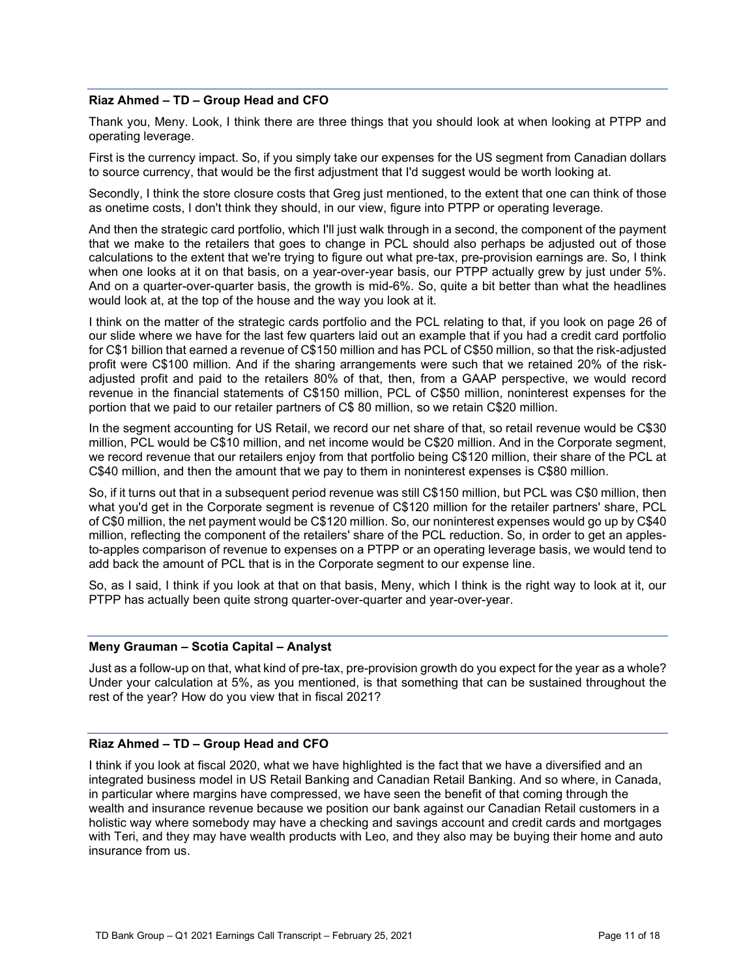# **Riaz Ahmed – TD – Group Head and CFO**

Thank you, Meny. Look, I think there are three things that you should look at when looking at PTPP and operating leverage.

First is the currency impact. So, if you simply take our expenses for the US segment from Canadian dollars to source currency, that would be the first adjustment that I'd suggest would be worth looking at.

Secondly, I think the store closure costs that Greg just mentioned, to the extent that one can think of those as onetime costs, I don't think they should, in our view, figure into PTPP or operating leverage.

And then the strategic card portfolio, which I'll just walk through in a second, the component of the payment that we make to the retailers that goes to change in PCL should also perhaps be adjusted out of those calculations to the extent that we're trying to figure out what pre-tax, pre-provision earnings are. So, I think when one looks at it on that basis, on a year-over-year basis, our PTPP actually grew by just under 5%. And on a quarter-over-quarter basis, the growth is mid-6%. So, quite a bit better than what the headlines would look at, at the top of the house and the way you look at it.

I think on the matter of the strategic cards portfolio and the PCL relating to that, if you look on page 26 of our slide where we have for the last few quarters laid out an example that if you had a credit card portfolio for C\$1 billion that earned a revenue of C\$150 million and has PCL of C\$50 million, so that the risk-adjusted profit were C\$100 million. And if the sharing arrangements were such that we retained 20% of the riskadjusted profit and paid to the retailers 80% of that, then, from a GAAP perspective, we would record revenue in the financial statements of C\$150 million, PCL of C\$50 million, noninterest expenses for the portion that we paid to our retailer partners of C\$ 80 million, so we retain C\$20 million.

In the segment accounting for US Retail, we record our net share of that, so retail revenue would be C\$30 million, PCL would be C\$10 million, and net income would be C\$20 million. And in the Corporate segment, we record revenue that our retailers enjoy from that portfolio being C\$120 million, their share of the PCL at C\$40 million, and then the amount that we pay to them in noninterest expenses is C\$80 million.

So, if it turns out that in a subsequent period revenue was still C\$150 million, but PCL was C\$0 million, then what you'd get in the Corporate segment is revenue of C\$120 million for the retailer partners' share, PCL of C\$0 million, the net payment would be C\$120 million. So, our noninterest expenses would go up by C\$40 million, reflecting the component of the retailers' share of the PCL reduction. So, in order to get an applesto-apples comparison of revenue to expenses on a PTPP or an operating leverage basis, we would tend to add back the amount of PCL that is in the Corporate segment to our expense line.

So, as I said, I think if you look at that on that basis, Meny, which I think is the right way to look at it, our PTPP has actually been quite strong quarter-over-quarter and year-over-year.

#### **Meny Grauman – Scotia Capital – Analyst**

Just as a follow-up on that, what kind of pre-tax, pre-provision growth do you expect for the year as a whole? Under your calculation at 5%, as you mentioned, is that something that can be sustained throughout the rest of the year? How do you view that in fiscal 2021?

# **Riaz Ahmed – TD – Group Head and CFO**

I think if you look at fiscal 2020, what we have highlighted is the fact that we have a diversified and an integrated business model in US Retail Banking and Canadian Retail Banking. And so where, in Canada, in particular where margins have compressed, we have seen the benefit of that coming through the wealth and insurance revenue because we position our bank against our Canadian Retail customers in a holistic way where somebody may have a checking and savings account and credit cards and mortgages with Teri, and they may have wealth products with Leo, and they also may be buying their home and auto insurance from us.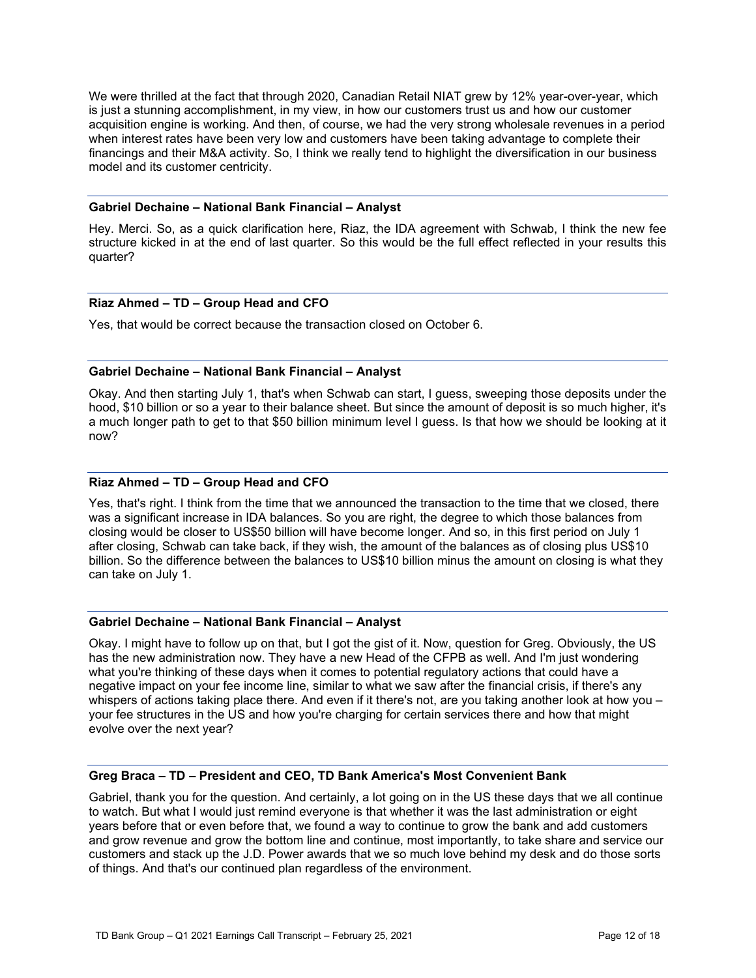We were thrilled at the fact that through 2020, Canadian Retail NIAT grew by 12% year-over-year, which is just a stunning accomplishment, in my view, in how our customers trust us and how our customer acquisition engine is working. And then, of course, we had the very strong wholesale revenues in a period when interest rates have been very low and customers have been taking advantage to complete their financings and their M&A activity. So, I think we really tend to highlight the diversification in our business model and its customer centricity.

# **Gabriel Dechaine – National Bank Financial – Analyst**

Hey. Merci. So, as a quick clarification here, Riaz, the IDA agreement with Schwab, I think the new fee structure kicked in at the end of last quarter. So this would be the full effect reflected in your results this quarter?

# **Riaz Ahmed – TD – Group Head and CFO**

Yes, that would be correct because the transaction closed on October 6.

# **Gabriel Dechaine – National Bank Financial – Analyst**

Okay. And then starting July 1, that's when Schwab can start, I guess, sweeping those deposits under the hood, \$10 billion or so a year to their balance sheet. But since the amount of deposit is so much higher, it's a much longer path to get to that \$50 billion minimum level I guess. Is that how we should be looking at it now?

# **Riaz Ahmed – TD – Group Head and CFO**

Yes, that's right. I think from the time that we announced the transaction to the time that we closed, there was a significant increase in IDA balances. So you are right, the degree to which those balances from closing would be closer to US\$50 billion will have become longer. And so, in this first period on July 1 after closing, Schwab can take back, if they wish, the amount of the balances as of closing plus US\$10 billion. So the difference between the balances to US\$10 billion minus the amount on closing is what they can take on July 1.

#### **Gabriel Dechaine – National Bank Financial – Analyst**

Okay. I might have to follow up on that, but I got the gist of it. Now, question for Greg. Obviously, the US has the new administration now. They have a new Head of the CFPB as well. And I'm just wondering what you're thinking of these days when it comes to potential regulatory actions that could have a negative impact on your fee income line, similar to what we saw after the financial crisis, if there's any whispers of actions taking place there. And even if it there's not, are you taking another look at how you – your fee structures in the US and how you're charging for certain services there and how that might evolve over the next year?

#### **Greg Braca – TD – President and CEO, TD Bank America's Most Convenient Bank**

Gabriel, thank you for the question. And certainly, a lot going on in the US these days that we all continue to watch. But what I would just remind everyone is that whether it was the last administration or eight years before that or even before that, we found a way to continue to grow the bank and add customers and grow revenue and grow the bottom line and continue, most importantly, to take share and service our customers and stack up the J.D. Power awards that we so much love behind my desk and do those sorts of things. And that's our continued plan regardless of the environment.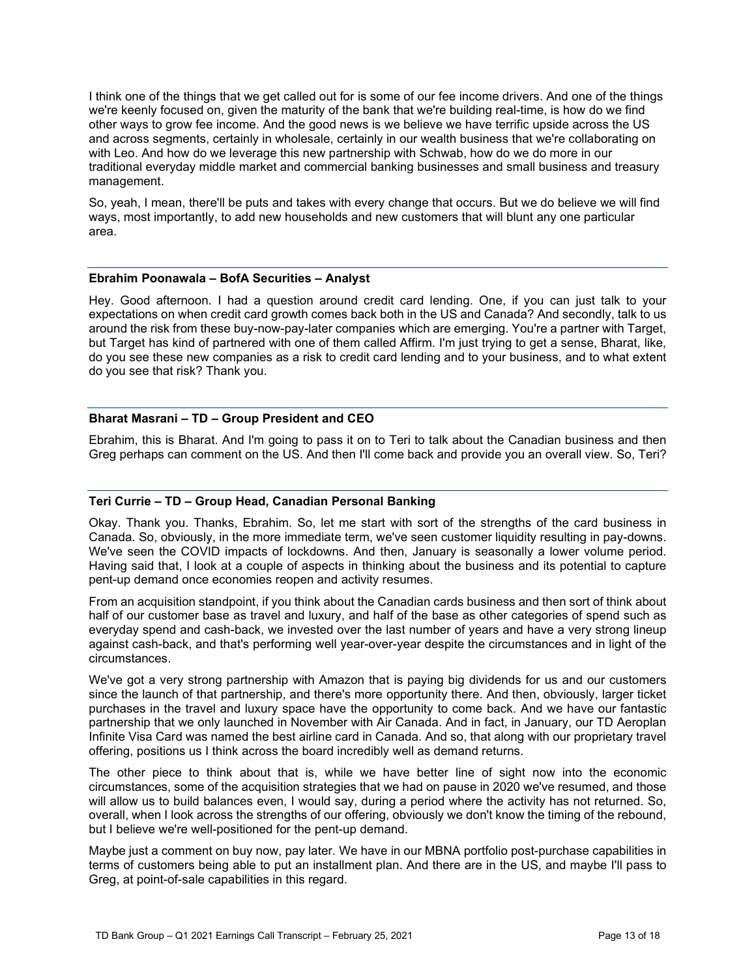I think one of the things that we get called out for is some of our fee income drivers. And one of the things we're keenly focused on, given the maturity of the bank that we're building real-time, is how do we find other ways to grow fee income. And the good news is we believe we have terrific upside across the US and across segments, certainly in wholesale, certainly in our wealth business that we're collaborating on with Leo. And how do we leverage this new partnership with Schwab, how do we do more in our traditional everyday middle market and commercial banking businesses and small business and treasury management.

So, yeah, I mean, there'll be puts and takes with every change that occurs. But we do believe we will find ways, most importantly, to add new households and new customers that will blunt any one particular area.

# **Ebrahim Poonawala – BofA Securities – Analyst**

Hey. Good afternoon. I had a question around credit card lending. One, if you can just talk to your expectations on when credit card growth comes back both in the US and Canada? And secondly, talk to us around the risk from these buy-now-pay-later companies which are emerging. You're a partner with Target, but Target has kind of partnered with one of them called Affirm. I'm just trying to get a sense, Bharat, like, do you see these new companies as a risk to credit card lending and to your business, and to what extent do you see that risk? Thank you.

# **Bharat Masrani – TD – Group President and CEO**

Ebrahim, this is Bharat. And I'm going to pass it on to Teri to talk about the Canadian business and then Greg perhaps can comment on the US. And then I'll come back and provide you an overall view. So, Teri?

#### **Teri Currie – TD – Group Head, Canadian Personal Banking**

Okay. Thank you. Thanks, Ebrahim. So, let me start with sort of the strengths of the card business in Canada. So, obviously, in the more immediate term, we've seen customer liquidity resulting in pay-downs. We've seen the COVID impacts of lockdowns. And then, January is seasonally a lower volume period. Having said that, I look at a couple of aspects in thinking about the business and its potential to capture pent-up demand once economies reopen and activity resumes.

From an acquisition standpoint, if you think about the Canadian cards business and then sort of think about half of our customer base as travel and luxury, and half of the base as other categories of spend such as everyday spend and cash-back, we invested over the last number of years and have a very strong lineup against cash-back, and that's performing well year-over-year despite the circumstances and in light of the circumstances.

We've got a very strong partnership with Amazon that is paying big dividends for us and our customers since the launch of that partnership, and there's more opportunity there. And then, obviously, larger ticket purchases in the travel and luxury space have the opportunity to come back. And we have our fantastic partnership that we only launched in November with Air Canada. And in fact, in January, our TD Aeroplan Infinite Visa Card was named the best airline card in Canada. And so, that along with our proprietary travel offering, positions us I think across the board incredibly well as demand returns.

The other piece to think about that is, while we have better line of sight now into the economic circumstances, some of the acquisition strategies that we had on pause in 2020 we've resumed, and those will allow us to build balances even, I would say, during a period where the activity has not returned. So, overall, when I look across the strengths of our offering, obviously we don't know the timing of the rebound, but I believe we're well-positioned for the pent-up demand.

Maybe just a comment on buy now, pay later. We have in our MBNA portfolio post-purchase capabilities in terms of customers being able to put an installment plan. And there are in the US, and maybe I'll pass to Greg, at point-of-sale capabilities in this regard.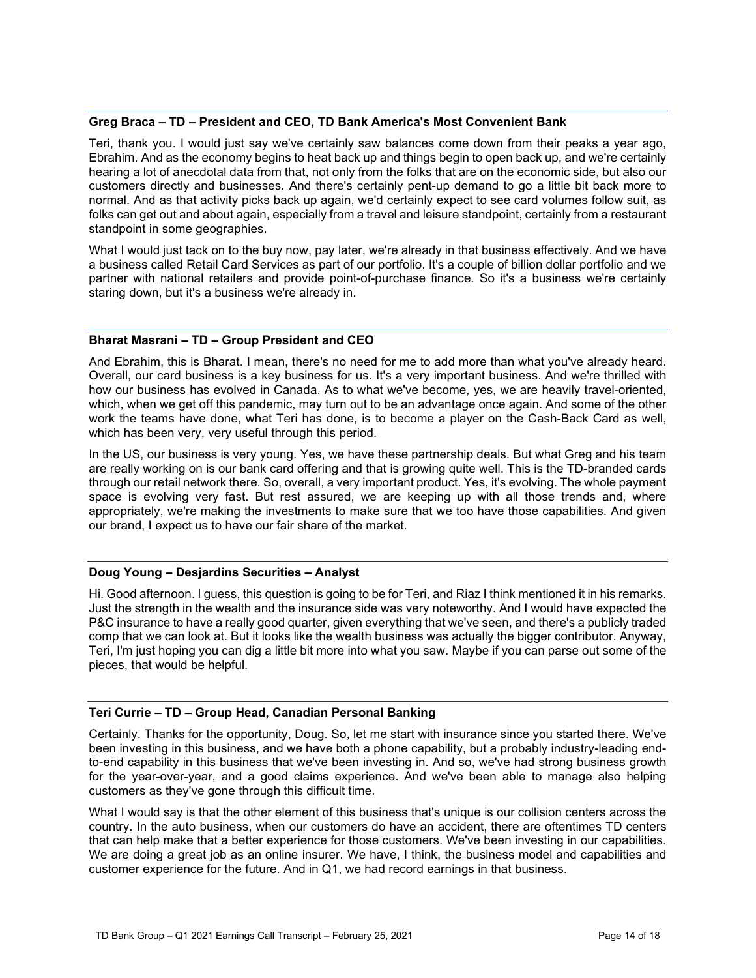# **Greg Braca – TD – President and CEO, TD Bank America's Most Convenient Bank**

Teri, thank you. I would just say we've certainly saw balances come down from their peaks a year ago, Ebrahim. And as the economy begins to heat back up and things begin to open back up, and we're certainly hearing a lot of anecdotal data from that, not only from the folks that are on the economic side, but also our customers directly and businesses. And there's certainly pent-up demand to go a little bit back more to normal. And as that activity picks back up again, we'd certainly expect to see card volumes follow suit, as folks can get out and about again, especially from a travel and leisure standpoint, certainly from a restaurant standpoint in some geographies.

What I would just tack on to the buy now, pay later, we're already in that business effectively. And we have a business called Retail Card Services as part of our portfolio. It's a couple of billion dollar portfolio and we partner with national retailers and provide point-of-purchase finance. So it's a business we're certainly staring down, but it's a business we're already in.

# **Bharat Masrani – TD – Group President and CEO**

And Ebrahim, this is Bharat. I mean, there's no need for me to add more than what you've already heard. Overall, our card business is a key business for us. It's a very important business. And we're thrilled with how our business has evolved in Canada. As to what we've become, yes, we are heavily travel-oriented, which, when we get off this pandemic, may turn out to be an advantage once again. And some of the other work the teams have done, what Teri has done, is to become a player on the Cash-Back Card as well, which has been very, very useful through this period.

In the US, our business is very young. Yes, we have these partnership deals. But what Greg and his team are really working on is our bank card offering and that is growing quite well. This is the TD-branded cards through our retail network there. So, overall, a very important product. Yes, it's evolving. The whole payment space is evolving very fast. But rest assured, we are keeping up with all those trends and, where appropriately, we're making the investments to make sure that we too have those capabilities. And given our brand, I expect us to have our fair share of the market.

#### **Doug Young – Desjardins Securities – Analyst**

Hi. Good afternoon. I guess, this question is going to be for Teri, and Riaz I think mentioned it in his remarks. Just the strength in the wealth and the insurance side was very noteworthy. And I would have expected the P&C insurance to have a really good quarter, given everything that we've seen, and there's a publicly traded comp that we can look at. But it looks like the wealth business was actually the bigger contributor. Anyway, Teri, I'm just hoping you can dig a little bit more into what you saw. Maybe if you can parse out some of the pieces, that would be helpful.

# **Teri Currie – TD – Group Head, Canadian Personal Banking**

Certainly. Thanks for the opportunity, Doug. So, let me start with insurance since you started there. We've been investing in this business, and we have both a phone capability, but a probably industry-leading endto-end capability in this business that we've been investing in. And so, we've had strong business growth for the year-over-year, and a good claims experience. And we've been able to manage also helping customers as they've gone through this difficult time.

What I would say is that the other element of this business that's unique is our collision centers across the country. In the auto business, when our customers do have an accident, there are oftentimes TD centers that can help make that a better experience for those customers. We've been investing in our capabilities. We are doing a great job as an online insurer. We have, I think, the business model and capabilities and customer experience for the future. And in Q1, we had record earnings in that business.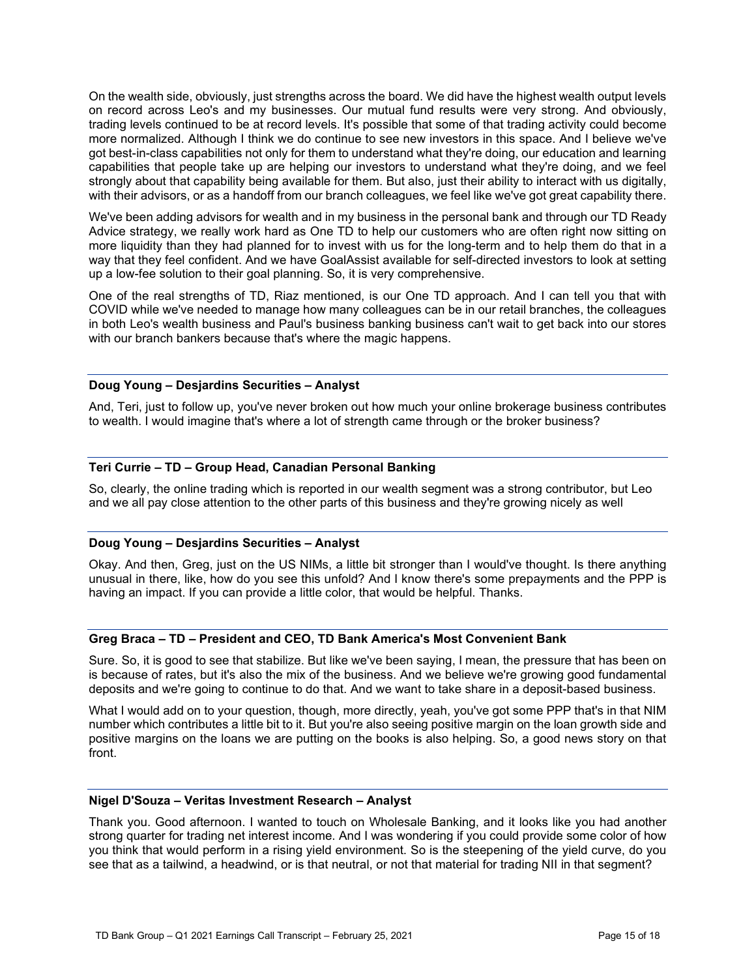On the wealth side, obviously, just strengths across the board. We did have the highest wealth output levels on record across Leo's and my businesses. Our mutual fund results were very strong. And obviously, trading levels continued to be at record levels. It's possible that some of that trading activity could become more normalized. Although I think we do continue to see new investors in this space. And I believe we've got best-in-class capabilities not only for them to understand what they're doing, our education and learning capabilities that people take up are helping our investors to understand what they're doing, and we feel strongly about that capability being available for them. But also, just their ability to interact with us digitally, with their advisors, or as a handoff from our branch colleagues, we feel like we've got great capability there.

We've been adding advisors for wealth and in my business in the personal bank and through our TD Ready Advice strategy, we really work hard as One TD to help our customers who are often right now sitting on more liquidity than they had planned for to invest with us for the long-term and to help them do that in a way that they feel confident. And we have GoalAssist available for self-directed investors to look at setting up a low-fee solution to their goal planning. So, it is very comprehensive.

One of the real strengths of TD, Riaz mentioned, is our One TD approach. And I can tell you that with COVID while we've needed to manage how many colleagues can be in our retail branches, the colleagues in both Leo's wealth business and Paul's business banking business can't wait to get back into our stores with our branch bankers because that's where the magic happens.

# **Doug Young – Desjardins Securities – Analyst**

And, Teri, just to follow up, you've never broken out how much your online brokerage business contributes to wealth. I would imagine that's where a lot of strength came through or the broker business?

# **Teri Currie – TD – Group Head, Canadian Personal Banking**

So, clearly, the online trading which is reported in our wealth segment was a strong contributor, but Leo and we all pay close attention to the other parts of this business and they're growing nicely as well

# **Doug Young – Desjardins Securities – Analyst**

Okay. And then, Greg, just on the US NIMs, a little bit stronger than I would've thought. Is there anything unusual in there, like, how do you see this unfold? And I know there's some prepayments and the PPP is having an impact. If you can provide a little color, that would be helpful. Thanks.

#### **Greg Braca – TD – President and CEO, TD Bank America's Most Convenient Bank**

Sure. So, it is good to see that stabilize. But like we've been saying, I mean, the pressure that has been on is because of rates, but it's also the mix of the business. And we believe we're growing good fundamental deposits and we're going to continue to do that. And we want to take share in a deposit-based business.

What I would add on to your question, though, more directly, yeah, you've got some PPP that's in that NIM number which contributes a little bit to it. But you're also seeing positive margin on the loan growth side and positive margins on the loans we are putting on the books is also helping. So, a good news story on that front.

# **Nigel D'Souza – Veritas Investment Research – Analyst**

Thank you. Good afternoon. I wanted to touch on Wholesale Banking, and it looks like you had another strong quarter for trading net interest income. And I was wondering if you could provide some color of how you think that would perform in a rising yield environment. So is the steepening of the yield curve, do you see that as a tailwind, a headwind, or is that neutral, or not that material for trading NII in that segment?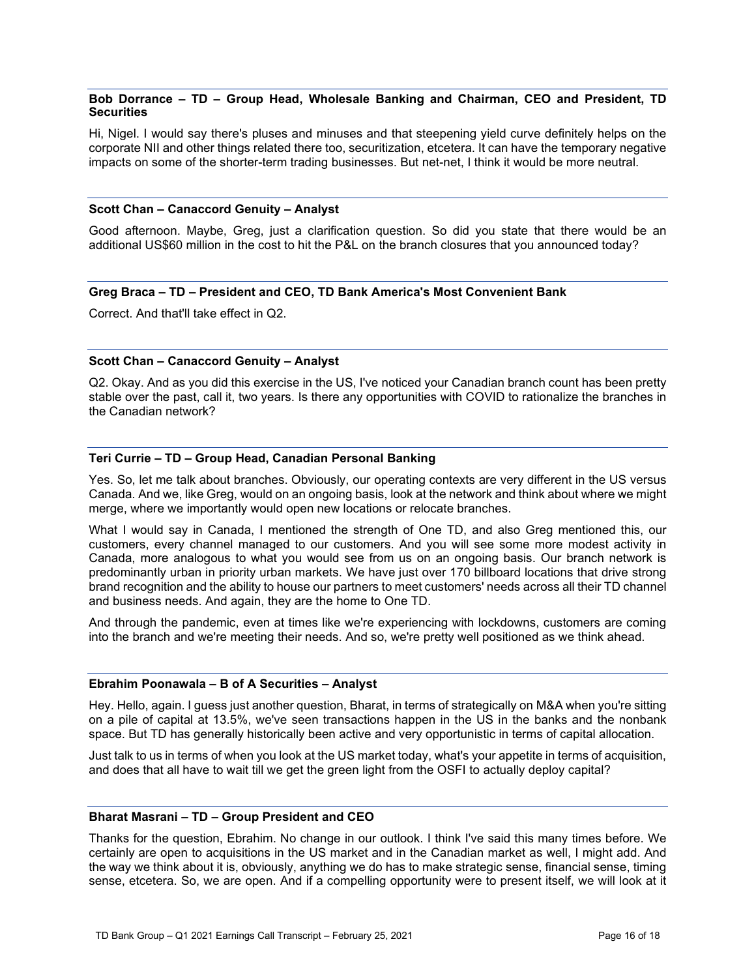# **Bob Dorrance – TD – Group Head, Wholesale Banking and Chairman, CEO and President, TD Securities**

Hi, Nigel. I would say there's pluses and minuses and that steepening yield curve definitely helps on the corporate NII and other things related there too, securitization, etcetera. It can have the temporary negative impacts on some of the shorter-term trading businesses. But net-net, I think it would be more neutral.

#### **Scott Chan – Canaccord Genuity – Analyst**

Good afternoon. Maybe, Greg, just a clarification question. So did you state that there would be an additional US\$60 million in the cost to hit the P&L on the branch closures that you announced today?

# **Greg Braca – TD – President and CEO, TD Bank America's Most Convenient Bank**

Correct. And that'll take effect in Q2.

# **Scott Chan – Canaccord Genuity – Analyst**

Q2. Okay. And as you did this exercise in the US, I've noticed your Canadian branch count has been pretty stable over the past, call it, two years. Is there any opportunities with COVID to rationalize the branches in the Canadian network?

# **Teri Currie – TD – Group Head, Canadian Personal Banking**

Yes. So, let me talk about branches. Obviously, our operating contexts are very different in the US versus Canada. And we, like Greg, would on an ongoing basis, look at the network and think about where we might merge, where we importantly would open new locations or relocate branches.

What I would say in Canada, I mentioned the strength of One TD, and also Greg mentioned this, our customers, every channel managed to our customers. And you will see some more modest activity in Canada, more analogous to what you would see from us on an ongoing basis. Our branch network is predominantly urban in priority urban markets. We have just over 170 billboard locations that drive strong brand recognition and the ability to house our partners to meet customers' needs across all their TD channel and business needs. And again, they are the home to One TD.

And through the pandemic, even at times like we're experiencing with lockdowns, customers are coming into the branch and we're meeting their needs. And so, we're pretty well positioned as we think ahead.

#### **Ebrahim Poonawala – B of A Securities – Analyst**

Hey. Hello, again. I guess just another question, Bharat, in terms of strategically on M&A when you're sitting on a pile of capital at 13.5%, we've seen transactions happen in the US in the banks and the nonbank space. But TD has generally historically been active and very opportunistic in terms of capital allocation.

Just talk to us in terms of when you look at the US market today, what's your appetite in terms of acquisition, and does that all have to wait till we get the green light from the OSFI to actually deploy capital?

# **Bharat Masrani – TD – Group President and CEO**

Thanks for the question, Ebrahim. No change in our outlook. I think I've said this many times before. We certainly are open to acquisitions in the US market and in the Canadian market as well, I might add. And the way we think about it is, obviously, anything we do has to make strategic sense, financial sense, timing sense, etcetera. So, we are open. And if a compelling opportunity were to present itself, we will look at it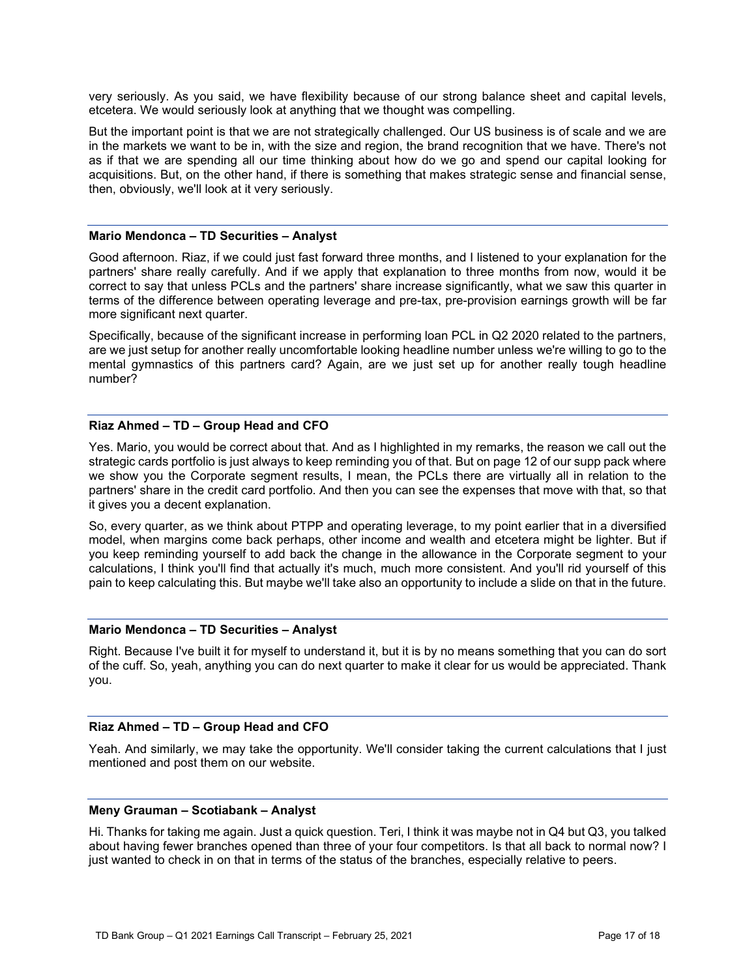very seriously. As you said, we have flexibility because of our strong balance sheet and capital levels, etcetera. We would seriously look at anything that we thought was compelling.

But the important point is that we are not strategically challenged. Our US business is of scale and we are in the markets we want to be in, with the size and region, the brand recognition that we have. There's not as if that we are spending all our time thinking about how do we go and spend our capital looking for acquisitions. But, on the other hand, if there is something that makes strategic sense and financial sense, then, obviously, we'll look at it very seriously.

#### **Mario Mendonca – TD Securities – Analyst**

Good afternoon. Riaz, if we could just fast forward three months, and I listened to your explanation for the partners' share really carefully. And if we apply that explanation to three months from now, would it be correct to say that unless PCLs and the partners' share increase significantly, what we saw this quarter in terms of the difference between operating leverage and pre-tax, pre-provision earnings growth will be far more significant next quarter.

Specifically, because of the significant increase in performing loan PCL in Q2 2020 related to the partners, are we just setup for another really uncomfortable looking headline number unless we're willing to go to the mental gymnastics of this partners card? Again, are we just set up for another really tough headline number?

# **Riaz Ahmed – TD – Group Head and CFO**

Yes. Mario, you would be correct about that. And as I highlighted in my remarks, the reason we call out the strategic cards portfolio is just always to keep reminding you of that. But on page 12 of our supp pack where we show you the Corporate segment results, I mean, the PCLs there are virtually all in relation to the partners' share in the credit card portfolio. And then you can see the expenses that move with that, so that it gives you a decent explanation.

So, every quarter, as we think about PTPP and operating leverage, to my point earlier that in a diversified model, when margins come back perhaps, other income and wealth and etcetera might be lighter. But if you keep reminding yourself to add back the change in the allowance in the Corporate segment to your calculations, I think you'll find that actually it's much, much more consistent. And you'll rid yourself of this pain to keep calculating this. But maybe we'll take also an opportunity to include a slide on that in the future.

# **Mario Mendonca – TD Securities – Analyst**

Right. Because I've built it for myself to understand it, but it is by no means something that you can do sort of the cuff. So, yeah, anything you can do next quarter to make it clear for us would be appreciated. Thank you.

# **Riaz Ahmed – TD – Group Head and CFO**

Yeah. And similarly, we may take the opportunity. We'll consider taking the current calculations that I just mentioned and post them on our website.

#### **Meny Grauman – Scotiabank – Analyst**

Hi. Thanks for taking me again. Just a quick question. Teri, I think it was maybe not in Q4 but Q3, you talked about having fewer branches opened than three of your four competitors. Is that all back to normal now? I just wanted to check in on that in terms of the status of the branches, especially relative to peers.